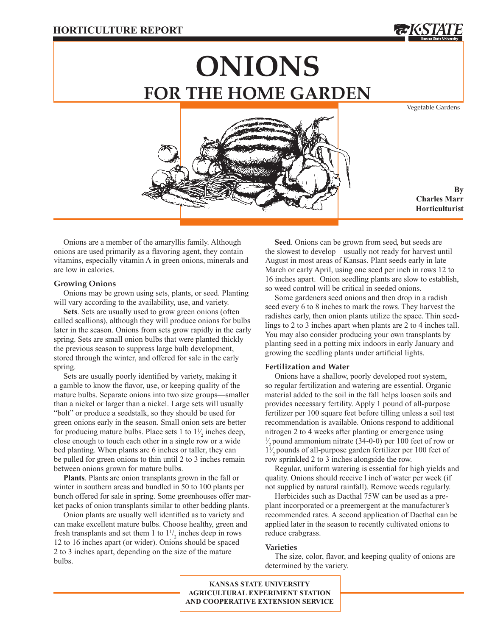# **ONIONS FOR THE HOME GARDEN**

Vegetable Gardens



**By Charles Marr Horticulturist**

Onions are a member of the amaryllis family. Although onions are used primarily as a flavoring agent, they contain vitamins, especially vitamin A in green onions, minerals and are low in calories.

## **Growing Onions**

Onions may be grown using sets, plants, or seed. Planting will vary according to the availability, use, and variety.

**Sets**. Sets are usually used to grow green onions (often called scallions), although they will produce onions for bulbs later in the season. Onions from sets grow rapidly in the early spring. Sets are small onion bulbs that were planted thickly the previous season to suppress large bulb development, stored through the winter, and offered for sale in the early spring.

Sets are usually poorly identified by variety, making it a gamble to know the flavor, use, or keeping quality of the mature bulbs. Separate onions into two size groups—smaller than a nickel or larger than a nickel. Large sets will usually "bolt" or produce a seedstalk, so they should be used for green onions early in the season. Small onion sets are better for producing mature bulbs. Place sets 1 to  $1\frac{1}{2}$  inches deep, ⁄ close enough to touch each other in a single row or a wide bed planting. When plants are 6 inches or taller, they can be pulled for green onions to thin until 2 to 3 inches remain between onions grown for mature bulbs.

**Plants**. Plants are onion transplants grown in the fall or winter in southern areas and bundled in 50 to 100 plants per bunch offered for sale in spring. Some greenhouses offer market packs of onion transplants similar to other bedding plants.

Onion plants are usually well identified as to variety and can make excellent mature bulbs. Choose healthy, green and fresh transplants and set them 1 to  $1\frac{1}{2}$  inches deep in rows 12 to 16 inches apart (or wider). Onions should be spaced 2 to 3 inches apart, depending on the size of the mature bulbs.

**Seed**. Onions can be grown from seed, but seeds are the slowest to develop—usually not ready for harvest until August in most areas of Kansas. Plant seeds early in late March or early April, using one seed per inch in rows 12 to 16 inches apart. Onion seedling plants are slow to establish, so weed control will be critical in seeded onions.

Some gardeners seed onions and then drop in a radish seed every 6 to 8 inches to mark the rows. They harvest the radishes early, then onion plants utilize the space. Thin seedlings to 2 to 3 inches apart when plants are 2 to 4 inches tall. You may also consider producing your own transplants by planting seed in a potting mix indoors in early January and growing the seedling plants under artificial lights.

#### **Fertilization and Water**

Onions have a shallow, poorly developed root system, so regular fertilization and watering are essential. Organic material added to the soil in the fall helps loosen soils and provides necessary fertility. Apply 1 pound of all-purpose fertilizer per 100 square feet before tilling unless a soil test recommendation is available. Onions respond to additional nitrogen 2 to 4 weeks after planting or emergence using  $\frac{1}{2}$  pound ammonium nitrate (34-0-0) per 100 feet of row or ⁄ 11 2 pounds of all-purpose garden fertilizer per 100 feet of ⁄ row sprinkled 2 to 3 inches alongside the row.

Regular, uniform watering is essential for high yields and quality. Onions should receive l inch of water per week (if not supplied by natural rainfall). Remove weeds regularly.

Herbicides such as Dacthal 75W can be used as a preplant incorporated or a preemergent at the manufacturer's recommended rates. A second application of Dacthal can be applied later in the season to recently cultivated onions to reduce crabgrass.

#### **Varieties**

The size, color, flavor, and keeping quality of onions are determined by the variety.

**KANSAS STATE UNIVERSITY AGRICULTURAL EXPERIMENT STATION AND COOPERATIVE EXTENSION SERVICE**